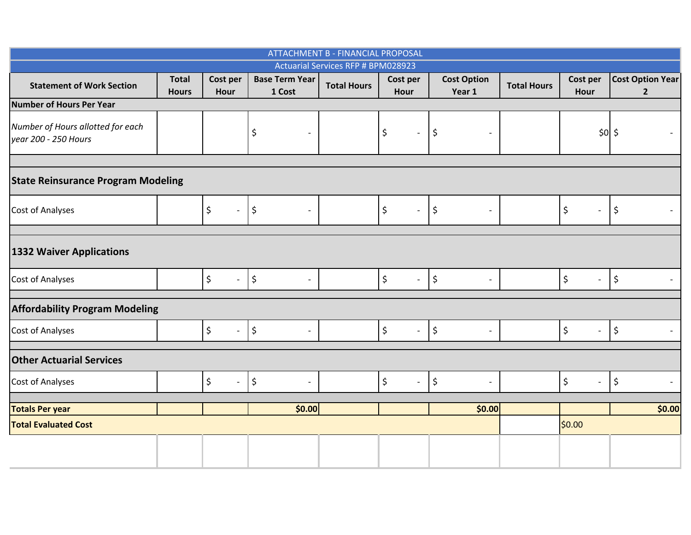| <b>ATTACHMENT B - FINANCIAL PROPOSAL</b>                  |                              |                                 |                                                |                    |                                                            |                                                  |                    |                                |                                         |  |  |  |
|-----------------------------------------------------------|------------------------------|---------------------------------|------------------------------------------------|--------------------|------------------------------------------------------------|--------------------------------------------------|--------------------|--------------------------------|-----------------------------------------|--|--|--|
| <b>Actuarial Services RFP # BPM028923</b>                 |                              |                                 |                                                |                    |                                                            |                                                  |                    |                                |                                         |  |  |  |
| <b>Statement of Work Section</b>                          | <b>Total</b><br><b>Hours</b> | Cost per<br>Hour                | <b>Base Term Year</b><br>1 Cost                | <b>Total Hours</b> | Cost per<br>Hour                                           | <b>Cost Option</b><br>Year 1                     | <b>Total Hours</b> | Cost per<br>Hour               | <b>Cost Option Year</b><br>$\mathbf{2}$ |  |  |  |
| <b>Number of Hours Per Year</b>                           |                              |                                 |                                                |                    |                                                            |                                                  |                    |                                |                                         |  |  |  |
| Number of Hours allotted for each<br>year 200 - 250 Hours |                              |                                 | \$<br>$\overline{\phantom{a}}$                 |                    | \$<br>$\overline{\phantom{a}}$                             | \$<br>$\overline{\phantom{a}}$                   |                    | \$0 \$                         |                                         |  |  |  |
|                                                           |                              |                                 |                                                |                    |                                                            |                                                  |                    |                                |                                         |  |  |  |
| <b>State Reinsurance Program Modeling</b>                 |                              |                                 |                                                |                    |                                                            |                                                  |                    |                                |                                         |  |  |  |
| Cost of Analyses                                          |                              | \$<br>$\blacksquare$            | $\vert \varsigma$<br>$\overline{\phantom{a}}$  |                    | $\boldsymbol{\zeta}$<br>$\overline{\phantom{a}}$           | \$<br>$\blacksquare$                             |                    | \$<br>$\overline{\phantom{a}}$ | \$                                      |  |  |  |
|                                                           |                              |                                 |                                                |                    |                                                            |                                                  |                    |                                |                                         |  |  |  |
| <b>1332 Waiver Applications</b>                           |                              |                                 |                                                |                    |                                                            |                                                  |                    |                                |                                         |  |  |  |
| Cost of Analyses                                          |                              | \$<br>$\mathbb{L}^+$            | $\vert \mathbf{5}$<br>$\overline{\phantom{a}}$ |                    | $\boldsymbol{\dot{\varsigma}}$<br>$\overline{\phantom{a}}$ | \$                                               |                    | \$<br>$\blacksquare$           | $\boldsymbol{\zeta}$                    |  |  |  |
| <b>Affordability Program Modeling</b>                     |                              |                                 |                                                |                    |                                                            |                                                  |                    |                                |                                         |  |  |  |
| Cost of Analyses                                          |                              | \$<br>$\mathbb{L}^{\mathbb{N}}$ | $\vert \xi$<br>$\overline{\phantom{a}}$        |                    | $\zeta$<br>$\overline{\phantom{a}}$                        | $\boldsymbol{\zeta}$<br>$\overline{\phantom{a}}$ |                    | \$<br>$\overline{\phantom{a}}$ | $\frac{1}{2}$                           |  |  |  |
| <b>Other Actuarial Services</b>                           |                              |                                 |                                                |                    |                                                            |                                                  |                    |                                |                                         |  |  |  |
| Cost of Analyses                                          |                              | \$<br>$\equiv$                  | $\vert \mathbf{5}$<br>$\blacksquare$           |                    | $\zeta$<br>$\blacksquare$                                  | $\boldsymbol{\zeta}$<br>$\overline{\phantom{a}}$ |                    | \$<br>$\overline{\phantom{a}}$ | $\boldsymbol{\zeta}$                    |  |  |  |
| <b>Totals Per year</b>                                    |                              |                                 | \$0.00                                         |                    |                                                            | \$0.00                                           |                    |                                | \$0.00                                  |  |  |  |
| <b>Total Evaluated Cost</b>                               |                              |                                 |                                                |                    |                                                            |                                                  |                    | \$0.00                         |                                         |  |  |  |
|                                                           |                              |                                 |                                                |                    |                                                            |                                                  |                    |                                |                                         |  |  |  |